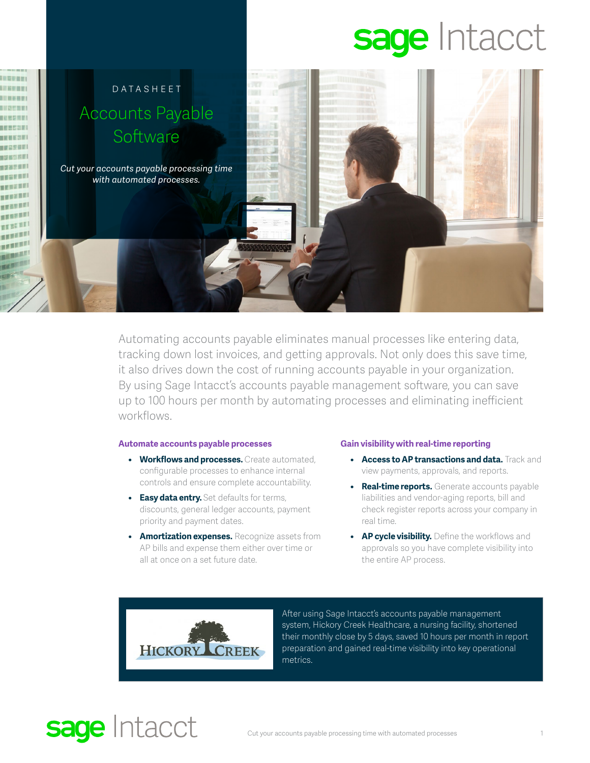# sage Intacct



Automating accounts payable eliminates manual processes like entering data, tracking down lost invoices, and getting approvals. Not only does this save time, it also drives down the cost of running accounts payable in your organization. By using Sage Intacct's accounts payable management software, you can save up to 100 hours per month by automating processes and eliminating inefficient workflows.

### **Automate accounts payable processes**

- **• Workflows and processes.** Create automated, configurable processes to enhance internal controls and ensure complete accountability.
- **• Easy data entry.** Set defaults for terms, discounts, general ledger accounts, payment priority and payment dates.
- **• Amortization expenses.** Recognize assets from AP bills and expense them either over time or all at once on a set future date.

#### **Gain visibility with real-time reporting**

- **• Access to AP transactions and data.** Track and view payments, approvals, and reports.
- **• Real-time reports.** Generate accounts payable liabilities and vendor-aging reports, bill and check register reports across your company in real time.
- **• AP cycle visibility.** Define the workflows and approvals so you have complete visibility into the entire AP process.



After using Sage Intacct's accounts payable management system, Hickory Creek Healthcare, a nursing facility, shortened their monthly close by 5 days, saved 10 hours per month in report preparation and gained real-time visibility into key operational metrics.

## sage Intacct